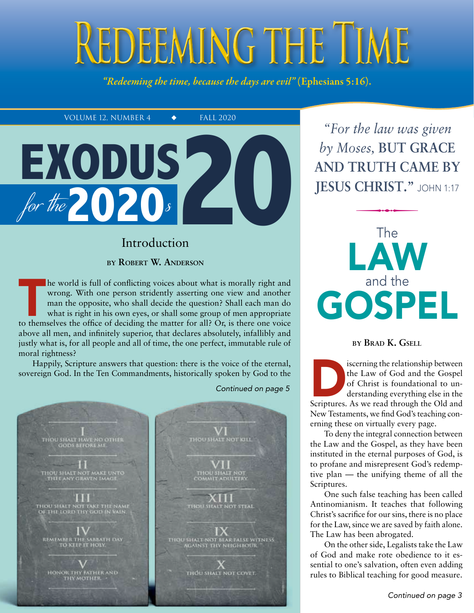# REDEEMING THE TIME

*"Redeeming the time, because the days are evil"* (Ephesians 5:16).

VOLUME 12, NUMBER 4  $\bullet$  FALL 2020



## Introduction

**by Robert W. Anderson**

The world is full of conflicting voices about what is morally right and wrong. With one person stridently asserting one view and another man the opposite, who shall decide the question? Shall each man do what is right in h wrong. With one person stridently asserting one view and another man the opposite, who shall decide the question? Shall each man do what is right in his own eyes, or shall some group of men appropriate above all men, and infinitely superior, that declares absolutely, infallibly and justly what is, for all people and all of time, the one perfect, immutable rule of moral rightness?

Happily, Scripture answers that question: there is the voice of the eternal, sovereign God. In the Ten Commandments, historically spoken by God to the

*Continued on page 5*



*"For the law was given*  $b$ <sup>y</sup> Moses, **BUT GRACE and truth came by Jesus ChrisT."** John 1:17 CHRIST."



#### **by Brad K. Gsell**

iscerning the relationship between<br>the Law of God and the Gospel<br>of Christ is foundational to un-<br>derstanding everything else in the<br>Scriptures. As we read through the Old and the Law of God and the Gospel of Christ is foundational to understanding everything else in the New Testaments, we find God's teaching conerning these on virtually every page.

To deny the integral connection between the Law and the Gospel, as they have been instituted in the eternal purposes of God, is to profane and misrepresent God's redemptive plan — the unifying theme of all the Scriptures.

One such false teaching has been called Antinomianism. It teaches that following Christ's sacrifice for our sins, there is no place for the Law, since we are saved by faith alone. The Law has been abrogated.

On the other side, Legalists take the Law of God and make rote obedience to it essential to one's salvation, often even adding rules to Biblical teaching for good measure.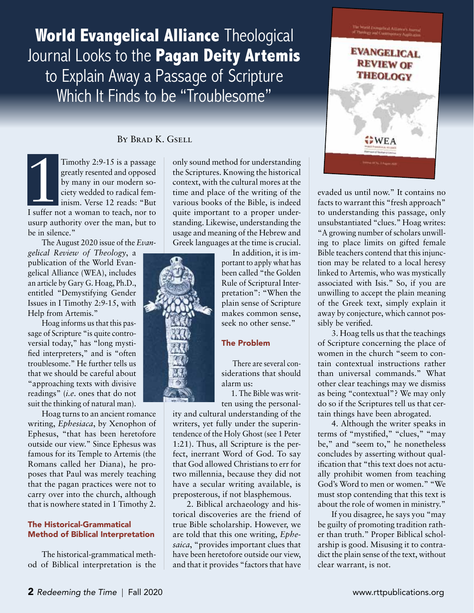## **World Evangelical Alliance** Theological Journal Looks to the **Pagan Deity Artemis** to Explain Away a Passage of Scripture Which It Finds to be "Troublesome"

#### By Brad K. Gsell

Timothy 2:9-15 is a passage<br>greatly resented and opposed<br>by many in our modern so-<br>ciety wedded to radical fem-<br>inism. Verse 12 reads: "But<br>I suffer not a woman to teach, nor to Timothy 2:9-15 is a passage greatly resented and opposed by many in our modern society wedded to radical feminism. Verse 12 reads: "But usurp authority over the man, but to be in silence.'  $\frac{1}{\sqrt{1-\frac{1}{2}}}\int$ 

The August 2020 issue of the *Evan-*

*gelical Review of Theology*, a publication of the World Evangelical Alliance (WEA), includes an article by Gary G. Hoag, Ph.D., entitled "Demystifying Gender Issues in I Timothy 2:9-15, with Help from Artemis."

Hoag informs us that this passage of Scripture "is quite controversial today," has "long mystified interpreters," and is "often troublesome." He further tells us that we should be careful about "approaching texts with divisive readings" (*i.e.* ones that do not suit the thinking of natural man).

Hoag turns to an ancient romance writing, *Ephesiaca*, by Xenophon of Ephesus, "that has been heretofore outside our view." Since Ephesus was famous for its Temple to Artemis (the Romans called her Diana), he proposes that Paul was merely teaching that the pagan practices were not to carry over into the church, although that is nowhere stated in 1 Timothy 2.

#### The Historical-Grammatical Method of Biblical Interpretation

The historical-grammatical method of Biblical interpretation is the only sound method for understanding the Scriptures. Knowing the historical context, with the cultural mores at the time and place of the writing of the various books of the Bible, is indeed quite important to a proper understanding. Likewise, understanding the usage and meaning of the Hebrew and Greek languages at the time is crucial.

> In addition, it is important to apply what has been called "the Golden Rule of Scriptural Interpretation": "When the plain sense of Scripture makes common sense, seek no other sense."

#### The Problem

There are several considerations that should alarm us:

1. The Bible was written using the personal-

ity and cultural understanding of the writers, yet fully under the superintendence of the Holy Ghost (see 1 Peter 1:21). Thus, all Scripture is the perfect, inerrant Word of God. To say that God allowed Christians to err for two millennia, because they did not have a secular writing available, is preposterous, if not blasphemous.

2. Biblical archaeology and historical discoveries are the friend of true Bible scholarship. However, we are told that this one writing, *Ephesaica*, "provides important clues that have been heretofore outside our view, and that it provides "factors that have



evaded us until now." It contains no facts to warrant this "fresh approach" to understanding this passage, only unsubstantiated "clues." Hoag writes: "A growing number of scholars unwilling to place limits on gifted female Bible teachers contend that this injunction may be related to a local heresy linked to Artemis, who was mystically associated with Isis." So, if you are unwilling to accept the plain meaning of the Greek text, simply explain it away by conjecture, which cannot possibly be verified.

3. Hoag tells us that the teachings of Scripture concerning the place of women in the church "seem to contain contextual instructions rather than universal commands." What other clear teachings may we dismiss as being "contextual"? We may only do so if the Scriptures tell us that certain things have been abrogated.

4. Although the writer speaks in terms of "mystified," "clues," "may be," and "seem to," he nonetheless concludes by asserting without qualification that "this text does not actually prohibit women from teaching God's Word to men or women." "We must stop contending that this text is about the role of women in ministry."

If you disagree, he says you "may be guilty of promoting tradition rather than truth." Proper Biblical scholarship is good. Misusing it to contradict the plain sense of the text, without clear warrant, is not.

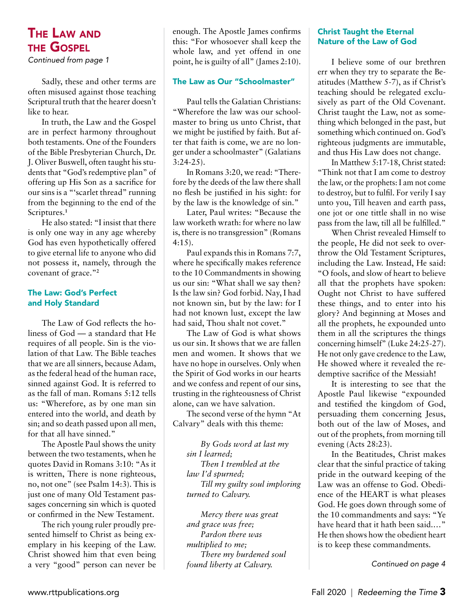## The Law and the Gospel

*Continued from page 1*

Sadly, these and other terms are often misused against those teaching Scriptural truth that the hearer doesn't like to hear.

In truth, the Law and the Gospel are in perfect harmony throughout both testaments. One of the Founders of the Bible Presbyterian Church, Dr. J. Oliver Buswell, often taught his students that "God's redemptive plan" of offering up His Son as a sacrifice for our sins is a "'scarlet thread" running from the beginning to the end of the Scriptures.**<sup>1</sup>**

He also stated: "I insist that there is only one way in any age whereby God has even hypothetically offered to give eternal life to anyone who did not possess it, namely, through the covenant of grace."**<sup>2</sup>**

#### The Law: God's Perfect and Holy Standard

The Law of God reflects the holiness of God — a standard that He requires of all people. Sin is the violation of that Law. The Bible teaches that we are all sinners, because Adam, as the federal head of the human race, sinned against God. It is referred to as the fall of man. Romans 5:12 tells us: "Wherefore, as by one man sin entered into the world, and death by sin; and so death passed upon all men, for that all have sinned."

The Apostle Paul shows the unity between the two testaments, when he quotes David in Romans 3:10: "As it is written, There is none righteous, no, not one" (see Psalm 14:3). This is just one of many Old Testament passages concerning sin which is quoted or confirmed in the New Testament.

The rich young ruler proudly presented himself to Christ as being exemplary in his keeping of the Law. Christ showed him that even being a very "good" person can never be enough. The Apostle James confirms this: "For whosoever shall keep the whole law, and yet offend in one point, he is guilty of all" (James 2:10).

#### The Law as Our "Schoolmaster"

Paul tells the Galatian Christians: "Wherefore the law was our schoolmaster to bring us unto Christ, that we might be justified by faith. But after that faith is come, we are no longer under a schoolmaster" (Galatians 3:24-25).

In Romans 3:20, we read: "Therefore by the deeds of the law there shall no flesh be justified in his sight: for by the law is the knowledge of sin."

Later, Paul writes: "Because the law worketh wrath: for where no law is, there is no transgression" (Romans 4:15).

Paul expands this in Romans 7:7, where he specifically makes reference to the 10 Commandments in showing us our sin: "What shall we say then? Is the law sin? God forbid. Nay, I had not known sin, but by the law: for I had not known lust, except the law had said, Thou shalt not covet."

The Law of God is what shows us our sin. It shows that we are fallen men and women. It shows that we have no hope in ourselves. Only when the Spirit of God works in our hearts and we confess and repent of our sins, trusting in the righteousness of Christ alone, can we have salvation.

The second verse of the hymn "At Calvary" deals with this theme:

*By Gods word at last my sin I learned; Then I trembled at the law I'd spurned; Till my guilty soul imploring turned to Calvary.*

*Mercy there was great and grace was free; Pardon there was multiplied to me; There my burdened soul found liberty at Calvary.*

#### Christ Taught the Eternal Nature of the Law of God

I believe some of our brethren err when they try to separate the Beatitudes (Matthew 5-7), as if Christ's teaching should be relegated exclusively as part of the Old Covenant. Christ taught the Law, not as something which belonged in the past, but something which continued on. God's righteous judgments are immutable, and thus His Law does not change.

In Matthew 5:17-18, Christ stated: "Think not that I am come to destroy the law, or the prophets: I am not come to destroy, but to fulfil. For verily I say unto you, Till heaven and earth pass, one jot or one tittle shall in no wise pass from the law, till all be fulfilled."

When Christ revealed Himself to the people, He did not seek to overthrow the Old Testament Scriptures, including the Law. Instead, He said: "O fools, and slow of heart to believe all that the prophets have spoken: Ought not Christ to have suffered these things, and to enter into his glory? And beginning at Moses and all the prophets, he expounded unto them in all the scriptures the things concerning himself" (Luke 24:25-27). He not only gave credence to the Law, He showed where it revealed the redemptive sacrifice of the Messiah!

It is interesting to see that the Apostle Paul likewise "expounded and testified the kingdom of God, persuading them concerning Jesus, both out of the law of Moses, and out of the prophets, from morning till evening (Acts 28:23).

In the Beatitudes, Christ makes clear that the sinful practice of taking pride in the outward keeping of the Law was an offense to God. Obedience of the HEART is what pleases God. He goes down through some of the 10 commandments and says: "Ye have heard that it hath been said.…" He then shows how the obedient heart is to keep these commandments.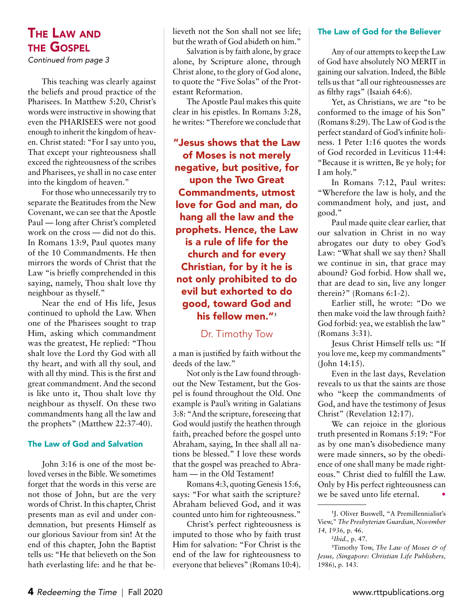## The Law and the Gospel

*Continued from page 3*

This teaching was clearly against the beliefs and proud practice of the Pharisees. In Matthew 5:20, Christ's words were instructive in showing that even the PHARISEES were not good enough to inherit the kingdom of heaven. Christ stated: "For I say unto you, That except your righteousness shall exceed the righteousness of the scribes and Pharisees, ye shall in no case enter into the kingdom of heaven."

For those who unnecessarily try to separate the Beatitudes from the New Covenant, we can see that the Apostle Paul — long after Christ's completed work on the cross — did not do this. In Romans 13:9, Paul quotes many of the 10 Commandments. He then mirrors the words of Christ that the Law "is briefly comprehended in this saying, namely, Thou shalt love thy neighbour as thyself."

Near the end of His life, Jesus continued to uphold the Law. When one of the Pharisees sought to trap Him, asking which commandment was the greatest, He replied: "Thou shalt love the Lord thy God with all thy heart, and with all thy soul, and with all thy mind. This is the first and great commandment. And the second is like unto it, Thou shalt love thy neighbour as thyself. On these two commandments hang all the law and the prophets" (Matthew 22:37-40).

#### The Law of God and Salvation

John 3:16 is one of the most beloved verses in the Bible. We sometimes forget that the words in this verse are not those of John, but are the very words of Christ. In this chapter, Christ presents man as evil and under condemnation, but presents Himself as our glorious Saviour from sin! At the end of this chapter, John the Baptist tells us: "He that believeth on the Son hath everlasting life: and he that believeth not the Son shall not see life; but the wrath of God abideth on him."

Salvation is by faith alone, by grace alone, by Scripture alone, through Christ alone, to the glory of God alone, to quote the "Five Solas" of the Protestant Reformation.

The Apostle Paul makes this quite clear in his epistles. In Romans 3:28, he writes: "Therefore we conclude that

"Jesus shows that the Law of Moses is not merely negative, but positive, for upon the Two Great Commandments, utmost love for God and man, do hang all the law and the prophets. Hence, the Law is a rule of life for the church and for every Christian, for by it he is not only prohibited to do evil but exhorted to do good, toward God and his fellow men."**<sup>3</sup>**

#### Dr. Timothy Tow

a man is justified by faith without the deeds of the law."

Not only is the Law found throughout the New Testament, but the Gospel is found throughout the Old. One example is Paul's writing in Galatians 3:8: "And the scripture, foreseeing that God would justify the heathen through faith, preached before the gospel unto Abraham, saying, In thee shall all nations be blessed." I love these words that the gospel was preached to Abraham — in the Old Testament!

Romans 4:3, quoting Genesis 15:6, says: "For what saith the scripture? Abraham believed God, and it was counted unto him for righteousness."

Christ's perfect righteousness is imputed to those who by faith trust Him for salvation: "For Christ is the end of the law for righteousness to everyone that believes" (Romans 10:4).

#### The Law of God for the Believer

Any of our attempts to keep the Law of God have absolutely NO MERIT in gaining our salvation. Indeed, the Bible tells us that "all our righteousnesses are as filthy rags" (Isaiah 64:6).

Yet, as Christians, we are "to be conformed to the image of his Son" (Romans 8:29). The Law of God is the perfect standard of God's infinite holiness. 1 Peter 1:16 quotes the words of God recorded in Leviticus 11:44: "Because it is written, Be ye holy; for I am holy."

In Romans 7:12, Paul writes: "Wherefore the law is holy, and the commandment holy, and just, and good."

Paul made quite clear earlier, that our salvation in Christ in no way abrogates our duty to obey God's Law: "What shall we say then? Shall we continue in sin, that grace may abound? God forbid. How shall we, that are dead to sin, live any longer therein?" (Romans 6:1-2).

Earlier still, he wrote: "Do we then make void the law through faith? God forbid: yea, we establish the law" (Romans 3:31).

Jesus Christ Himself tells us: "If you love me, keep my commandments" (John 14:15).

Even in the last days, Revelation reveals to us that the saints are those who "keep the commandments of God, and have the testimony of Jesus Christ" (Revelation 12:17).

We can rejoice in the glorious truth presented in Romans 5:19: "For as by one man's disobedience many were made sinners, so by the obedience of one shall many be made righteous." Christ died to fulfill the Law. Only by His perfect righteousness can we be saved unto life eternal.

**<sup>1</sup>** J. Oliver Buswell, "A Premillennialist's View," *The Presbyterian Guardian, November 14, 1936,* p. 46.

**<sup>2</sup>** *Ibid.,* p. 47.

**<sup>3</sup>** Timothy Tow, *The Law of Moses & of Jesus, (Singapore: Christian Life Publishers,*  1986), p. 143.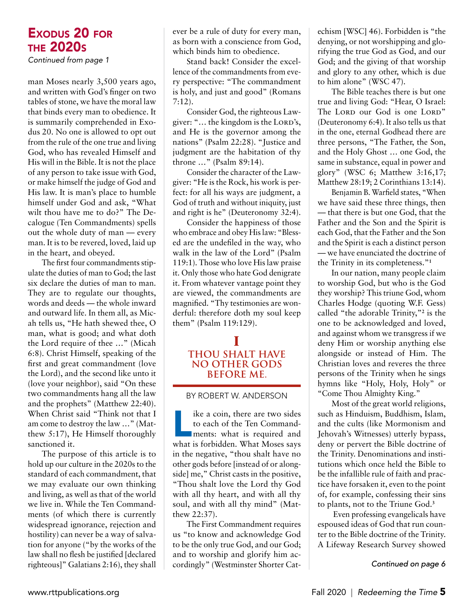*Continued from page 1*

man Moses nearly 3,500 years ago, and written with God's finger on two tables of stone, we have the moral law that binds every man to obedience. It is summarily comprehended in Exodus 20. No one is allowed to opt out from the rule of the one true and living God, who has revealed Himself and His will in the Bible. It is not the place of any person to take issue with God, or make himself the judge of God and His law. It is man's place to humble himself under God and ask, "What wilt thou have me to do?" The Decalogue (Ten Commandments) spells out the whole duty of man — every man. It is to be revered, loved, laid up in the heart, and obeyed.

The first four commandments stipulate the duties of man to God; the last six declare the duties of man to man. They are to regulate our thoughts, words and deeds — the whole inward and outward life. In them all, as Micah tells us, "He hath shewed thee, O man, what is good; and what doth the Lord require of thee …" (Micah 6:8). Christ Himself, speaking of the first and great commandment (love the Lord), and the second like unto it (love your neighbor), said "On these two commandments hang all the law and the prophets" (Matthew 22:40). When Christ said "Think not that I am come to destroy the law …" (Matthew 5:17), He Himself thoroughly sanctioned it.

The purpose of this article is to hold up our culture in the 2020s to the standard of each commandment, that we may evaluate our own thinking and living, as well as that of the world we live in. While the Ten Commandments (of which there is currently widespread ignorance, rejection and hostility) can never be a way of salvation for anyone ("by the works of the law shall no flesh be justified [declared righteous]" Galatians 2:16), they shall ever be a rule of duty for every man, as born with a conscience from God, which binds him to obedience.

Stand back! Consider the excellence of the commandments from every perspective: "The commandment is holy, and just and good" (Romans 7:12).

Consider God, the righteous Lawgiver: "... the kingdom is the LORD's, and He is the governor among the nations" (Psalm 22:28). "Justice and judgment are the habitation of thy throne …" (Psalm 89:14).

Consider the character of the Lawgiver: "He is the Rock, his work is perfect: for all his ways are judgment, a God of truth and without iniquity, just and right is he" (Deuteronomy 32:4).

Consider the happiness of those who embrace and obey His law: "Blessed are the undefiled in the way, who walk in the law of the Lord" (Psalm 119:1). Those who love His law praise it. Only those who hate God denigrate it. From whatever vantage point they are viewed, the commandments are magnified. "Thy testimonies are wonderful: therefore doth my soul keep them" (Psalm 119:129).

#### **I Thou shalt have no other gods before me.**

#### by Robert W. Anderson

like a coin, there are two sides<br>to each of the Ten Command-<br>ments: what is required and<br>what is forbidden. What Moses says to each of the Ten Commandments: what is required and what is forbidden. What Moses says in the negative, "thou shalt have no other gods before [instead of or alongside] me," Christ casts in the positive, "Thou shalt love the Lord thy God with all thy heart, and with all thy soul, and with all thy mind" (Matthew 22:37).

The First Commandment requires us "to know and acknowledge God to be the only true God, and our God; and to worship and glorify him accordingly" (Westminster Shorter Cat-

echism [WSC] 46). Forbidden is "the denying, or not worshipping and glorifying the true God as God, and our God; and the giving of that worship and glory to any other, which is due to him alone" (WSC 47).

The Bible teaches there is but one true and living God: "Hear, O Israel: The LORD our God is one LORD" (Deuteronomy 6:4). It also tells us that in the one, eternal Godhead there are three persons, "The Father, the Son, and the Holy Ghost … one God, the same in substance, equal in power and glory" (WSC 6; Matthew 3:16,17; Matthew 28:19; 2 Corinthians 13:14).

Benjamin B. Warfield states, "When we have said these three things, then — that there is but one God, that the Father and the Son and the Spirit is each God, that the Father and the Son and the Spirit is each a distinct person — we have enunciated the doctrine of the Trinity in its completeness."**<sup>1</sup>**

In our nation, many people claim to worship God, but who is the God they worship? This triune God, whom Charles Hodge (quoting W.F. Gess) called "the adorable Trinity,"**<sup>2</sup>** is the one to be acknowledged and loved, and against whom we transgress if we deny Him or worship anything else alongside or instead of Him. The Christian loves and reveres the three persons of the Trinity when he sings hymns like "Holy, Holy, Holy" or "Come Thou Almighty King."

Most of the great world religions, such as Hinduism, Buddhism, Islam, and the cults (like Mormonism and Jehovah's Witnesses) utterly bypass, deny or pervert the Bible doctrine of the Trinity. Denominations and institutions which once held the Bible to be the infallible rule of faith and practice have forsaken it, even to the point of, for example, confessing their sins to plants, not to the Triune God.**<sup>3</sup>**

 Even professing evangelicals have espoused ideas of God that run counter to the Bible doctrine of the Trinity. A Lifeway Research Survey showed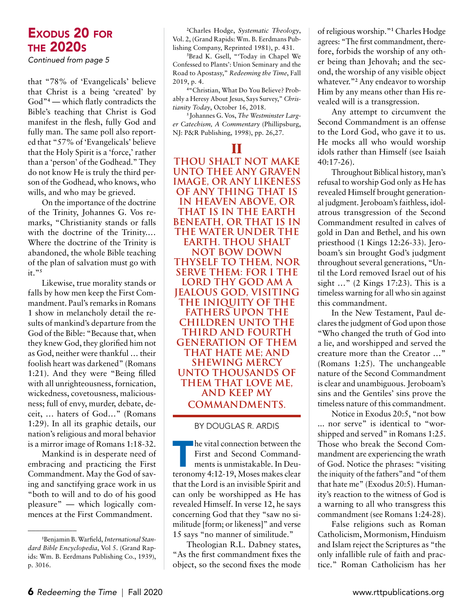*Continued from page 5*

that "78% of 'Evangelicals' believe that Christ is a being 'created' by God"**<sup>4</sup>** — which flatly contradicts the Bible's teaching that Christ is God manifest in the flesh, fully God and fully man. The same poll also reported that "57% of 'Evangelicals' believe that the Holy Spirit is a 'force,' rather than a 'person' of the Godhead." They do not know He is truly the third person of the Godhead, who knows, who wills, and who may be grieved.

On the importance of the doctrine of the Trinity, Johannes G. Vos remarks, "Christianity stands or falls with the doctrine of the Trinity.… Where the doctrine of the Trinity is abandoned, the whole Bible teaching of the plan of salvation must go with it."**<sup>5</sup>**

Likewise, true morality stands or falls by how men keep the First Commandment. Paul's remarks in Romans 1 show in melancholy detail the results of mankind's departure from the God of the Bible: "Because that, when they knew God, they glorified him not as God, neither were thankful … their foolish heart was darkened" (Romans 1:21). And they were "Being filled with all unrighteousness, fornication, wickedness, covetousness, maliciousness; full of envy, murder, debate, deceit, … haters of God…" (Romans 1:29). In all its graphic details, our nation's religious and moral behavior is a mirror image of Romans 1:18-32.

Mankind is in desperate need of embracing and practicing the First Commandment. May the God of saving and sanctifying grace work in us "both to will and to do of his good pleasure" — which logically commences at the First Commandment.

\_\_\_\_\_\_\_\_\_\_\_\_

**2** Charles Hodge, *Systematic Theology*, Vol. 2, (Grand Rapids: Wm. B. Eerdmans Publishing Company, Reprinted 1981), p. 431.

**3** Brad K. Gsell, "'Today in Chapel We Confessed to Plants': Union Seminary and the Road to Apostasy," *Redeeming the Time*, Fall 2019, p. 4.

**4** "Christian, What Do You Believe? Probably a Heresy About Jesus, Says Survey," *Christianity Today*, October 16, 2018.

**5** Johannes G. Vos, *The Westminster Larger Catechism, A Commentary* (Phillipsburg, NJ: P&R Publishing, 1998), pp. 26,27.

#### **II**

**Thou shalt not make unto thee any graven image, or any likeness of any thing that is in heaven above, or that is in the earth beneath, or that is in the water under the earth. Thou shalt not bow down thyself to them, nor serve them: for I the Lord thy God am a jealous God, visiting the iniquity of the fathers upon the children unto the third and fourth generation of them that hate me; And shewing mercy unto thousands of them that love me, and keep my commandments.** 

#### by Douglas R. ARDIs

The vital connection between the<br>First and Second Command-<br>ments is unmistakable. In Deu-<br>teronomy 4:12-19. Moses makes clear First and Second Commandments is unmistakable. In Deuteronomy 4:12-19, Moses makes clear that the Lord is an invisible Spirit and can only be worshipped as He has revealed Himself. In verse 12, he says concerning God that they "saw no similitude [form; or likeness]" and verse 15 says "no manner of similitude."

Theologian R.L. Dabney states, "As the first commandment fixes the object, so the second fixes the mode

of religious worship."**<sup>1</sup>** Charles Hodge agrees: "The first commandment, therefore, forbids the worship of any other being than Jehovah; and the second, the worship of any visible object whatever."<sup>2</sup> Any endeavor to worship Him by any means other than His revealed will is a transgression.

Any attempt to circumvent the Second Commandment is an offense to the Lord God, who gave it to us. He mocks all who would worship idols rather than Himself (see Isaiah 40:17-26).

Throughout Biblical history, man's refusal to worship God only as He has revealed Himself brought generational judgment. Jeroboam's faithless, idolatrous transgression of the Second Commandment resulted in calves of gold in Dan and Bethel, and his own priesthood (1 Kings 12:26-33). Jeroboam's sin brought God's judgment throughout several generations, "Until the Lord removed Israel out of his sight …" (2 Kings 17:23). This is a timeless warning for all who sin against this commandment.

In the New Testament, Paul declares the judgment of God upon those "Who changed the truth of God into a lie, and worshipped and served the creature more than the Creator …" (Romans 1:25). The unchangeable nature of the Second Commandment is clear and unambiguous. Jeroboam's sins and the Gentiles' sins prove the timeless nature of this commandment.

Notice in Exodus 20:5, "not bow ... nor serve" is identical to "worshipped and served" in Romans 1:25. Those who break the Second Commandment are experiencing the wrath of God. Notice the phrases: "visiting the iniquity of the fathers"and "of them that hate me" (Exodus 20:5). Humanity's reaction to the witness of God is a warning to all who transgress this commandment (see Romans 1:24-28).

False religions such as Roman Catholicism, Mormonism, Hinduism and Islam reject the Scriptures as "the only infallible rule of faith and practice." Roman Catholicism has her

**<sup>1</sup>** Benjamin B. Warfield, *International Standard Bible Encyclopedia*, Vol 5. (Grand Rapids: Wm. B. Eerdmans Publishing Co., 1939), p. 3016.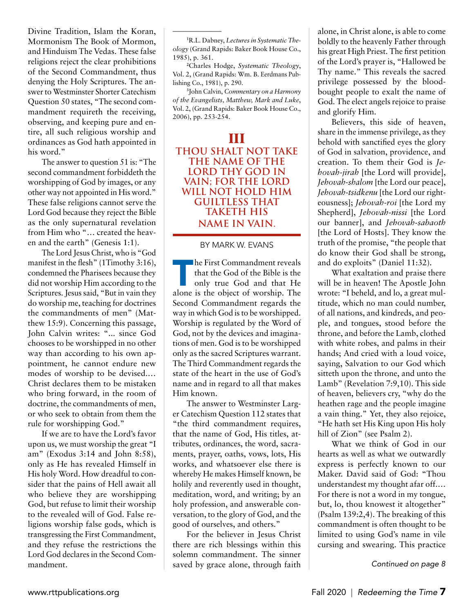Divine Tradition, Islam the Koran, Mormonism The Book of Mormon, and Hinduism The Vedas. These false religions reject the clear prohibitions of the Second Commandment, thus denying the Holy Scriptures. The answer to Westminster Shorter Catechism Question 50 states, "The second commandment requireth the receiving, observing, and keeping pure and entire, all such religious worship and ordinances as God hath appointed in his word."

The answer to question 51 is: "The second commandment forbiddeth the worshipping of God by images, or any other way not appointed in His word." These false religions cannot serve the Lord God because they reject the Bible as the only supernatural revelation from Him who "… created the heaven and the earth" (Genesis 1:1).

The Lord Jesus Christ, who is "God manifest in the flesh" (1Timothy 3:16), condemned the Pharisees because they did not worship Him according to the Scriptures. Jesus said, "But in vain they do worship me, teaching for doctrines the commandments of men" (Matthew 15:9). Concerning this passage, John Calvin writes: "... since God chooses to be worshipped in no other way than according to his own appointment, he cannot endure new modes of worship to be devised.… Christ declares them to be mistaken who bring forward, in the room of doctrine, the commandments of men, or who seek to obtain from them the rule for worshipping God."

If we are to have the Lord's favor upon us, we must worship the great "I am" (Exodus 3:14 and John 8:58), only as He has revealed Himself in His holy Word. How dreadful to consider that the pains of Hell await all who believe they are worshipping God, but refuse to limit their worship to the revealed will of God. False religions worship false gods, which is transgressing the First Commandment, and they refuse the restrictions the Lord God declares in the Second Commandment.

**1** R.L. Dabney, *Lectures in Systematic Theology* (Grand Rapids: Baker Book House Co., 1985), p. 361.

\_\_\_\_\_\_\_\_\_\_\_\_

**2** Charles Hodge, *Systematic Theology*, Vol. 2, (Grand Rapids: Wm. B. Eerdmans Publishing Co., 1981), p. 290.

**3** John Calvin, *Commentary on a Harmony of the Evangelists, Matthew, Mark and Luke*, Vol. 2, (Grand Rapids: Baker Book House Co., 2006), pp. 253-254.

### **III**

**Thou shalt not take the name of the Lord thy God in vain; for the Lord wilL not hold him guiltless that taketh his name in vain.** 

#### by MARK W. EVANs

**Example First Commandment reveals**<br>that the God of the Bible is the<br>only true God and that He<br>alone is the object of worship. The that the God of the Bible is the only true God and that He Second Commandment regards the way in which God is to be worshipped. Worship is regulated by the Word of God, not by the devices and imaginations of men. God is to be worshipped only as the sacred Scriptures warrant. The Third Commandment regards the state of the heart in the use of God's name and in regard to all that makes Him known.

The answer to Westminster Larger Catechism Question 112 states that "the third commandment requires, that the name of God, His titles, attributes, ordinances, the word, sacraments, prayer, oaths, vows, lots, His works, and whatsoever else there is whereby He makes Himself known, be holily and reverently used in thought, meditation, word, and writing; by an holy profession, and answerable conversation, to the glory of God, and the good of ourselves, and others."

For the believer in Jesus Christ there are rich blessings within this solemn commandment. The sinner saved by grace alone, through faith alone, in Christ alone, is able to come boldly to the heavenly Father through his great High Priest. The first petition of the Lord's prayer is, "Hallowed be Thy name." This reveals the sacred privilege possessed by the bloodbought people to exalt the name of God. The elect angels rejoice to praise and glorify Him.

Believers, this side of heaven, share in the immense privilege, as they behold with sanctified eyes the glory of God in salvation, providence, and creation. To them their God is *Jehovah-jirah* [the Lord will provide], *Jehovah-shalom* [the Lord our peace], *Jehovah-tsidkenu* [the Lord our righteousness]; *Jehovah-roi* [the Lord my Shepherd], *Jehovah-nissi* [the Lord our banner], and *Jehovah-sabaoth* [the Lord of Hosts]. They know the truth of the promise, "the people that do know their God shall be strong, and do exploits" (Daniel 11:32).

What exaltation and praise there will be in heaven! The Apostle John wrote: "I beheld, and lo, a great multitude, which no man could number, of all nations, and kindreds, and people, and tongues, stood before the throne, and before the Lamb, clothed with white robes, and palms in their hands; And cried with a loud voice, saying, Salvation to our God which sitteth upon the throne, and unto the Lamb" (Revelation 7:9,10). This side of heaven, believers cry, "why do the heathen rage and the people imagine a vain thing." Yet, they also rejoice, "He hath set His King upon His holy hill of Zion" (see Psalm 2).

What we think of God in our hearts as well as what we outwardly express is perfectly known to our Maker. David said of God: "Thou understandest my thought afar off.… For there is not a word in my tongue, but, lo, thou knowest it altogether" (Psalm 139:2,4). The breaking of this commandment is often thought to be limited to using God's name in vile cursing and swearing. This practice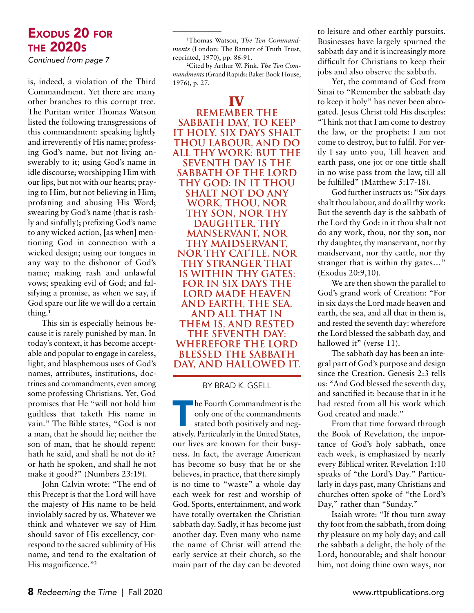*Continued from page 7*

is, indeed, a violation of the Third Commandment. Yet there are many other branches to this corrupt tree. The Puritan writer Thomas Watson listed the following transgressions of this commandment: speaking lightly and irreverently of His name; professing God's name, but not living answerably to it; using God's name in idle discourse; worshipping Him with our lips, but not with our hearts; praying to Him, but not believing in Him; profaning and abusing His Word; swearing by God's name (that is rashly and sinfully); prefixing God's name to any wicked action, [as when] mentioning God in connection with a wicked design; using our tongues in any way to the dishonor of God's name; making rash and unlawful vows; speaking evil of God; and falsifying a promise, as when we say, if God spare our life we will do a certain thing.**<sup>1</sup>**

This sin is especially heinous because it is rarely punished by man. In today's context, it has become acceptable and popular to engage in careless, light, and blasphemous uses of God's names, attributes, institutions, doctrines and commandments, even among some professing Christians. Yet, God promises that He "will not hold him guiltless that taketh His name in vain." The Bible states, "God is not a man, that he should lie; neither the son of man, that he should repent: hath he said, and shall he not do it? or hath he spoken, and shall he not make it good?" (Numbers 23:19).

John Calvin wrote: "The end of this Precept is that the Lord will have the majesty of His name to be held inviolably sacred by us. Whatever we think and whatever we say of Him should savor of His excellency, correspond to the sacred sublimity of His name, and tend to the exaltation of His magnificence."**<sup>2</sup>**

**1** Thomas Watson, *The Ten Commandments* (London: The Banner of Truth Trust, reprinted, 1970), pp. 86-91.

\_\_\_\_\_\_\_\_\_\_\_\_

**2** Cited by Arthur W. Pink, *The Ten Commandments* (Grand Rapids: Baker Book House, 1976), p. 27.

#### **IV**

**Remember the sabbath day, to keep it holy. Six days shalt thou labour, and do all thy work: But the seventh day is the sabbath of the Lord thy God: in it thou shalt not do any work, thou, nor thy son, nor thy daughter, thy manservant, nor thy maidservant, nor thy cattle, nor thy stranger that is within thy gates: For in six days the Lord made heaven and earth, the sea, and all that in them is, and rested the seventh day: wherefore the Lord blessed the sabbath day, and hallowed it.** 

#### by BRAD K. GSELL

In the Fourth Commandment is the only one of the commandments stated both positively and negatively. Particularly in the United States, only one of the commandments stated both positively and negour lives are known for their busyness. In fact, the average American has become so busy that he or she believes, in practice, that there simply is no time to "waste" a whole day each week for rest and worship of God. Sports, entertainment, and work have totally overtaken the Christian sabbath day. Sadly, it has become just another day. Even many who name the name of Christ will attend the early service at their church, so the main part of the day can be devoted

to leisure and other earthly pursuits. Businesses have largely spurned the sabbath day and it is increasingly more difficult for Christians to keep their jobs and also observe the sabbath.

Yet, the command of God from Sinai to "Remember the sabbath day to keep it holy" has never been abrogated. Jesus Christ told His disciples: "Think not that I am come to destroy the law, or the prophets: I am not

come to destroy, but to fulfil. For verily I say unto you, Till heaven and earth pass, one jot or one tittle shall in no wise pass from the law, till all be fulfilled" (Matthew 5:17-18).

God further instructs us: "Six days shalt thou labour, and do all thy work: But the seventh day is the sabbath of the Lord thy God: in it thou shalt not do any work, thou, nor thy son, nor thy daughter, thy manservant, nor thy maidservant, nor thy cattle, nor thy stranger that is within thy gates…" (Exodus 20:9,10).

We are then shown the parallel to God's grand work of Creation: "For in six days the Lord made heaven and earth, the sea, and all that in them is, and rested the seventh day: wherefore the Lord blessed the sabbath day, and hallowed it" (verse 11).

The sabbath day has been an integral part of God's purpose and design since the Creation. Genesis 2:3 tells us: "And God blessed the seventh day, and sanctified it: because that in it he had rested from all his work which God created and made."

From that time forward through the Book of Revelation, the importance of God's holy sabbath, once each week, is emphasized by nearly every Biblical writer. Revelation 1:10 speaks of "the Lord's Day." Particularly in days past, many Christians and churches often spoke of "the Lord's Day," rather than "Sunday."

Isaiah wrote: "If thou turn away thy foot from the sabbath, from doing thy pleasure on my holy day; and call the sabbath a delight, the holy of the Lord, honourable; and shalt honour him, not doing thine own ways, nor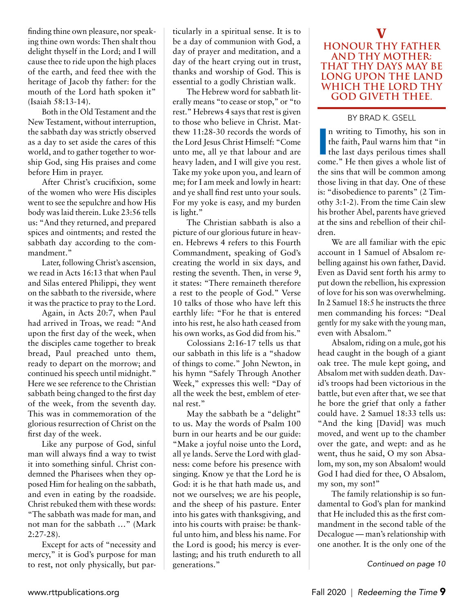finding thine own pleasure, nor speaking thine own words: Then shalt thou delight thyself in the Lord; and I will cause thee to ride upon the high places of the earth, and feed thee with the heritage of Jacob thy father: for the mouth of the Lord hath spoken it" (Isaiah 58:13-14).

Both in the Old Testament and the New Testament, without interruption, the sabbath day was strictly observed as a day to set aside the cares of this world, and to gather together to worship God, sing His praises and come before Him in prayer.

After Christ's crucifixion, some of the women who were His disciples went to see the sepulchre and how His body was laid therein. Luke 23:56 tells us: "And they returned, and prepared spices and ointments; and rested the sabbath day according to the commandment."

Later, following Christ's ascension, we read in Acts 16:13 that when Paul and Silas entered Philippi, they went on the sabbath to the riverside, where it was the practice to pray to the Lord.

Again, in Acts 20:7, when Paul had arrived in Troas, we read: "And upon the first day of the week, when the disciples came together to break bread, Paul preached unto them, ready to depart on the morrow; and continued his speech until midnight." Here we see reference to the Christian sabbath being changed to the first day of the week, from the seventh day. This was in commemoration of the glorious resurrection of Christ on the first day of the week.

Like any purpose of God, sinful man will always find a way to twist it into something sinful. Christ condemned the Pharisees when they opposed Him for healing on the sabbath, and even in eating by the roadside. Christ rebuked them with these words: "The sabbath was made for man, and not man for the sabbath …" (Mark 2:27-28).

Except for acts of "necessity and mercy," it is God's purpose for man to rest, not only physically, but particularly in a spiritual sense. It is to be a day of communion with God, a day of prayer and meditation, and a day of the heart crying out in trust, thanks and worship of God. This is essential to a godly Christian walk.

The Hebrew word for sabbath literally means "to cease or stop," or "to rest." Hebrews 4 says that rest is given to those who believe in Christ. Matthew 11:28-30 records the words of the Lord Jesus Christ Himself: "Come unto me, all ye that labour and are heavy laden, and I will give you rest. Take my yoke upon you, and learn of me; for I am meek and lowly in heart: and ye shall find rest unto your souls. For my yoke is easy, and my burden is light."

The Christian sabbath is also a picture of our glorious future in heaven. Hebrews 4 refers to this Fourth Commandment, speaking of God's creating the world in six days, and resting the seventh. Then, in verse 9, it states: "There remaineth therefore a rest to the people of God." Verse 10 talks of those who have left this earthly life: "For he that is entered into his rest, he also hath ceased from his own works, as God did from his."

Colossians 2:16-17 tells us that our sabbath in this life is a "shadow of things to come." John Newton, in his hymn "Safely Through Another Week," expresses this well: "Day of all the week the best, emblem of eternal rest."

May the sabbath be a "delight" to us. May the words of Psalm 100 burn in our hearts and be our guide: "Make a joyful noise unto the Lord, all ye lands. Serve the Lord with gladness: come before his presence with singing. Know ye that the Lord he is God: it is he that hath made us, and not we ourselves; we are his people, and the sheep of his pasture. Enter into his gates with thanksgiving, and into his courts with praise: be thankful unto him, and bless his name. For the Lord is good; his mercy is everlasting; and his truth endureth to all generations."

#### **V Honour thy father and thy mother: that thy days may be long upon the land which the Lord thy God giveth thee.**

#### by BRAD K. GSELL

In writing to Timothy, his son in<br>the faith, Paul warns him that "in<br>the last days perilous times shall<br>come." He then gives a whole list of n writing to Timothy, his son in the faith, Paul warns him that "in the last days perilous times shall the sins that will be common among those living in that day. One of these is: "disobedience to parents" (2 Timothy 3:1-2). From the time Cain slew his brother Abel, parents have grieved at the sins and rebellion of their children.

We are all familiar with the epic account in 1 Samuel of Absalom rebelling against his own father, David. Even as David sent forth his army to put down the rebellion, his expression of love for his son was overwhelming. In 2 Samuel 18:5 he instructs the three men commanding his forces: "Deal gently for my sake with the young man, even with Absalom."

Absalom, riding on a mule, got his head caught in the bough of a giant oak tree. The mule kept going, and Absalom met with sudden death. David's troops had been victorious in the battle, but even after that, we see that he bore the grief that only a father could have. 2 Samuel 18:33 tells us: "And the king [David] was much moved, and went up to the chamber over the gate, and wept: and as he went, thus he said, O my son Absalom, my son, my son Absalom! would God I had died for thee, O Absalom, my son, my son!"

The family relationship is so fundamental to God's plan for mankind that He included this as the first commandment in the second table of the Decalogue — man's relationship with one another. It is the only one of the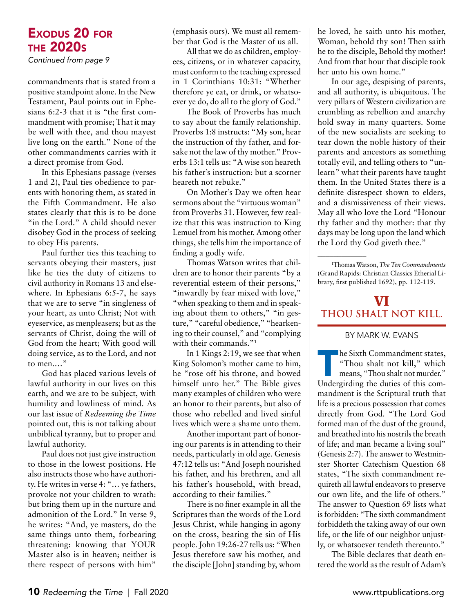*Continued from page 9*

commandments that is stated from a positive standpoint alone. In the New Testament, Paul points out in Ephesians 6:2-3 that it is "the first commandment with promise; That it may be well with thee, and thou mayest live long on the earth." None of the other commandments carries with it a direct promise from God.

In this Ephesians passage (verses 1 and 2), Paul ties obedience to parents with honoring them, as stated in the Fifth Commandment. He also states clearly that this is to be done "in the Lord." A child should never disobey God in the process of seeking to obey His parents.

Paul further ties this teaching to servants obeying their masters, just like he ties the duty of citizens to civil authority in Romans 13 and elsewhere. In Ephesians 6:5-7, he says that we are to serve "in singleness of your heart, as unto Christ; Not with eyeservice, as menpleasers; but as the servants of Christ, doing the will of God from the heart; With good will doing service, as to the Lord, and not to men.…"

God has placed various levels of lawful authority in our lives on this earth, and we are to be subject, with humility and lowliness of mind. As our last issue of *Redeeming the Time*  pointed out, this is not talking about unbiblical tyranny, but to proper and lawful authority.

Paul does not just give instruction to those in the lowest positions. He also instructs those who have authority. He writes in verse 4: "… ye fathers, provoke not your children to wrath: but bring them up in the nurture and admonition of the Lord." In verse 9, he writes: "And, ye masters, do the same things unto them, forbearing threatening: knowing that YOUR Master also is in heaven; neither is there respect of persons with him"

(emphasis ours). We must all remember that God is the Master of us all.

All that we do as children, employees, citizens, or in whatever capacity, must conform to the teaching expressed in 1 Corinthians 10:31: "Whether therefore ye eat, or drink, or whatsoever ye do, do all to the glory of God."

The Book of Proverbs has much to say about the family relationship. Proverbs 1:8 instructs: "My son, hear the instruction of thy father, and forsake not the law of thy mother." Proverbs 13:1 tells us: "A wise son heareth his father's instruction: but a scorner heareth not rebuke."

On Mother's Day we often hear sermons about the "virtuous woman" from Proverbs 31. However, few realize that this was instruction to King Lemuel from his mother. Among other things, she tells him the importance of finding a godly wife.

Thomas Watson writes that children are to honor their parents "by a reverential esteem of their persons," "inwardly by fear mixed with love," "when speaking to them and in speaking about them to others," "in gesture," "careful obedience," "hearkening to their counsel," and "complying with their commands."<sup>1</sup>

In 1 Kings 2:19, we see that when King Solomon's mother came to him, he "rose off his throne, and bowed himself unto her." The Bible gives many examples of children who were an honor to their parents, but also of those who rebelled and lived sinful lives which were a shame unto them.

Another important part of honoring our parents is in attending to their needs, particularly in old age. Genesis 47:12 tells us: "And Joseph nourished his father, and his brethren, and all his father's household, with bread, according to their families."

There is no finer example in all the Scriptures than the words of the Lord Jesus Christ, while hanging in agony on the cross, bearing the sin of His people. John 19:26-27 tells us: "When Jesus therefore saw his mother, and the disciple [John] standing by, whom he loved, he saith unto his mother, Woman, behold thy son! Then saith he to the disciple, Behold thy mother! And from that hour that disciple took her unto his own home."

In our age, despising of parents, and all authority, is ubiquitous. The very pillars of Western civilization are crumbling as rebellion and anarchy hold sway in many quarters. Some of the new socialists are seeking to tear down the noble history of their parents and ancestors as something totally evil, and telling others to "unlearn" what their parents have taught them. In the United States there is a definite disrespect shown to elders, and a dismissiveness of their views. May all who love the Lord "Honour thy father and thy mother: that thy days may be long upon the land which the Lord thy God giveth thee."

\_\_\_\_\_\_\_\_\_\_\_\_

## **VI Thou shalt not kill.**

#### by MARK W. EVANs

he Sixth Commandment states,<br>
"Thou shalt not kill," which<br>
means, "Thou shalt not murder."<br>
Undergirding the duties of this com-"Thou shalt not kill," which means, "Thou shalt not murder." Undergirding the duties of this commandment is the Scriptural truth that life is a precious possession that comes directly from God. "The Lord God formed man of the dust of the ground, and breathed into his nostrils the breath of life; and man became a living soul" (Genesis 2:7). The answer to Westminster Shorter Catechism Question 68 states, "The sixth commandment requireth all lawful endeavors to preserve our own life, and the life of others." The answer to Question 69 lists what is forbidden: "The sixth commandment forbiddeth the taking away of our own life, or the life of our neighbor unjustly, or whatsoever tendeth thereunto."

The Bible declares that death entered the world as the result of Adam's

**<sup>1</sup>** Thomas Watson, *The Ten Commandments* (Grand Rapids: Christian Classics Etherial Library, first published 1692), pp. 112-119.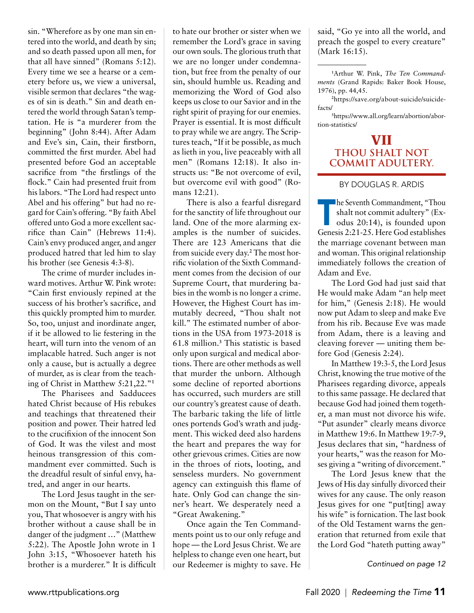sin. "Wherefore as by one man sin entered into the world, and death by sin; and so death passed upon all men, for that all have sinned" (Romans 5:12). Every time we see a hearse or a cemetery before us, we view a universal, visible sermon that declares "the wages of sin is death." Sin and death entered the world through Satan's temptation. He is "a murderer from the beginning" (John 8:44). After Adam and Eve's sin, Cain, their firstborn, committed the first murder. Abel had presented before God an acceptable sacrifice from "the firstlings of the flock." Cain had presented fruit from his labors. "The Lord had respect unto Abel and his offering" but had no regard for Cain's offering. "By faith Abel offered unto God a more excellent sacrifice than Cain" (Hebrews 11:4). Cain's envy produced anger, and anger produced hatred that led him to slay his brother (see Genesis 4:3-8).

The crime of murder includes inward motives. Arthur W. Pink wrote: "Cain first enviously repined at the success of his brother's sacrifice, and this quickly prompted him to murder. So, too, unjust and inordinate anger, if it be allowed to lie festering in the heart, will turn into the venom of an implacable hatred. Such anger is not only a cause, but is actually a degree of murder, as is clear from the teaching of Christ in Matthew 5:21,22."**<sup>1</sup>**

The Pharisees and Sadducees hated Christ because of His rebukes and teachings that threatened their position and power. Their hatred led to the crucifixion of the innocent Son of God. It was the vilest and most heinous transgression of this commandment ever committed. Such is the dreadful result of sinful envy, hatred, and anger in our hearts.

The Lord Jesus taught in the sermon on the Mount, "But I say unto you, That whosoever is angry with his brother without a cause shall be in danger of the judgment …" (Matthew 5:22). The Apostle John wrote in 1 John 3:15, "Whosoever hateth his brother is a murderer." It is difficult to hate our brother or sister when we remember the Lord's grace in saving our own souls. The glorious truth that we are no longer under condemnation, but free from the penalty of our sin, should humble us. Reading and memorizing the Word of God also keeps us close to our Savior and in the right spirit of praying for our enemies. Prayer is essential. It is most difficult to pray while we are angry. The Scriptures teach, "If it be possible, as much as lieth in you, live peaceably with all men" (Romans 12:18). It also instructs us: "Be not overcome of evil, but overcome evil with good" (Romans 12:21).

There is also a fearful disregard for the sanctity of life throughout our land. One of the more alarming examples is the number of suicides. There are 123 Americans that die from suicide every day.**<sup>2</sup>** The most horrific violation of the Sixth Commandment comes from the decision of our Supreme Court, that murdering babies in the womb is no longer a crime. However, the Highest Court has immutably decreed, "Thou shalt not kill." The estimated number of abortions in the USA from 1973-2018 is 61.8 million.**<sup>3</sup>** This statistic is based only upon surgical and medical abortions. There are other methods as well that murder the unborn. Although some decline of reported abortions has occurred, such murders are still our country's greatest cause of death. The barbaric taking the life of little ones portends God's wrath and judgment. This wicked deed also hardens the heart and prepares the way for other grievous crimes. Cities are now in the throes of riots, looting, and senseless murders. No government agency can extinguish this flame of hate. Only God can change the sinner's heart. We desperately need a "Great Awakening."

Once again the Ten Commandments point us to our only refuge and hope — the Lord Jesus Christ. We are helpless to change even one heart, but our Redeemer is mighty to save. He said, "Go ye into all the world, and preach the gospel to every creature" (Mark 16:15).

\_\_\_\_\_\_\_\_\_\_\_\_

**2** https://save.org/about-suicide/suicidefacts/

**3** https://www.all.org/learn/abortion/abortion-statistics/

#### **VII Thou shalt not commit adultery.**

#### by DOUGLAS R. ARDIS

he Seventh Commandment, "Thou<br>shalt not commit adultery" (Ex-<br>odus 20:14), is founded upon<br>Genesis 2:21-25 Here God establishes shalt not commit adultery" (Exodus 20:14), is founded upon Genesis 2:21-25. Here God establishes the marriage covenant between man and woman. This original relationship immediately follows the creation of Adam and Eve.

The Lord God had just said that He would make Adam "an help meet for him," (Genesis 2:18). He would now put Adam to sleep and make Eve from his rib. Because Eve was made from Adam, there is a leaving and cleaving forever — uniting them before God (Genesis 2:24).

In Matthew 19:3-5, the Lord Jesus Christ, knowing the true motive of the Pharisees regarding divorce, appeals to this same passage. He declared that because God had joined them together, a man must not divorce his wife. "Put asunder" clearly means divorce in Matthew 19:6. In Matthew 19:7-9, Jesus declares that sin, "hardness of your hearts," was the reason for Moses giving a "writing of divorcement."

The Lord Jesus knew that the Jews of His day sinfully divorced their wives for any cause. The only reason Jesus gives for one "put[ting] away his wife" is fornication. The last book of the Old Testament warns the generation that returned from exile that the Lord God "hateth putting away"

**<sup>1</sup>** Arthur W. Pink, *The Ten Commandments* (Grand Rapids: Baker Book House, 1976), pp. 44,45.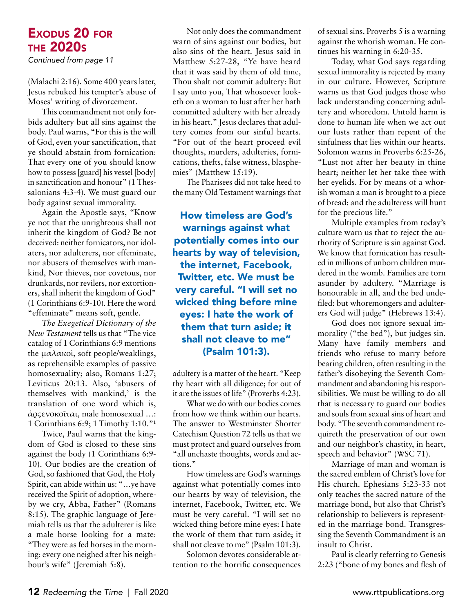*Continued from page 11*

(Malachi 2:16). Some 400 years later, Jesus rebuked his tempter's abuse of Moses' writing of divorcement.

This commandment not only forbids adultery but all sins against the body. Paul warns, "For this is the will of God, even your sanctification, that ye should abstain from fornication: That every one of you should know how to possess [guard] his vessel [body] in sanctification and honour" (1 Thessalonians 4:3-4). We must guard our body against sexual immorality.

Again the Apostle says, "Know ye not that the unrighteous shall not inherit the kingdom of God? Be not deceived: neither fornicators, nor idolaters, nor adulterers, nor effeminate, nor abusers of themselves with mankind, Nor thieves, nor covetous, nor drunkards, nor revilers, nor extortioners, shall inherit the kingdom of God" (1 Corinthians 6:9-10). Here the word "effeminate" means soft, gentle.

*The Exegetical Dictionary of the New Testament* tells us that "The vice catalog of 1 Corinthians 6:9 mentions the μαλακοὶ, soft people/weaklings, as reprehensible examples of passive homosexuality; also, Romans 1:27; Leviticus 20:13. Also, 'abusers of themselves with mankind,' is the translation of one word which is, ἀρςενοκοῖται, male homosexual …: 1 Corinthians 6:9; 1 Timothy 1:10."**<sup>1</sup>**

Twice, Paul warns that the kingdom of God is closed to these sins against the body (1 Corinthians 6:9- 10). Our bodies are the creation of God, so fashioned that God, the Holy Spirit, can abide within us: "…ye have received the Spirit of adoption, whereby we cry, Abba, Father" (Romans 8:15). The graphic language of Jeremiah tells us that the adulterer is like a male horse looking for a mate: "They were as fed horses in the morning: every one neighed after his neighbour's wife" (Jeremiah 5:8).

Not only does the commandment warn of sins against our bodies, but also sins of the heart. Jesus said in Matthew 5:27-28, "Ye have heard that it was said by them of old time, Thou shalt not commit adultery: But I say unto you, That whosoever looketh on a woman to lust after her hath committed adultery with her already in his heart." Jesus declares that adultery comes from our sinful hearts. "For out of the heart proceed evil thoughts, murders, adulteries, fornications, thefts, false witness, blasphemies" (Matthew 15:19).

The Pharisees did not take heed to the many Old Testament warnings that

How timeless are God's warnings against what potentially comes into our hearts by way of television, the internet, Facebook, Twitter, etc. We must be very careful. "I will set no wicked thing before mine eyes: I hate the work of them that turn aside; it shall not cleave to me" (Psalm 101:3).

adultery is a matter of the heart. "Keep thy heart with all diligence; for out of it are the issues of life" (Proverbs 4:23).

What we do with our bodies comes from how we think within our hearts. The answer to Westminster Shorter Catechism Question 72 tells us that we must protect and guard ourselves from "all unchaste thoughts, words and actions."

How timeless are God's warnings against what potentially comes into our hearts by way of television, the internet, Facebook, Twitter, etc. We must be very careful. "I will set no wicked thing before mine eyes: I hate the work of them that turn aside; it shall not cleave to me" (Psalm 101:3).

Solomon devotes considerable attention to the horrific consequences of sexual sins. Proverbs 5 is a warning against the whorish woman. He continues his warning in 6:20-35.

Today, what God says regarding sexual immorality is rejected by many in our culture. However, Scripture warns us that God judges those who lack understanding concerning adultery and whoredom. Untold harm is done to human life when we act out our lusts rather than repent of the sinfulness that lies within our hearts. Solomon warns in Proverbs 6:25-26, "Lust not after her beauty in thine heart; neither let her take thee with her eyelids. For by means of a whorish woman a man is brought to a piece of bread: and the adulteress will hunt for the precious life."

Multiple examples from today's culture warn us that to reject the authority of Scripture is sin against God. We know that fornication has resulted in millions of unborn children murdered in the womb. Families are torn asunder by adultery. "Marriage is honourable in all, and the bed undefiled: but whoremongers and adulterers God will judge" (Hebrews 13:4).

God does not ignore sexual immorality ("the bed"), but judges sin. Many have family members and friends who refuse to marry before bearing children, often resulting in the father's disobeying the Seventh Commandment and abandoning his responsibilities. We must be willing to do all that is necessary to guard our bodies and souls from sexual sins of heart and body. "The seventh commandment requireth the preservation of our own and our neighbor's chastity, in heart, speech and behavior" (WSC 71).

Marriage of man and woman is the sacred emblem of Christ's love for His church. Ephesians 5:23-33 not only teaches the sacred nature of the marriage bond, but also that Christ's relationship to believers is represented in the marriage bond. Transgressing the Seventh Commandment is an insult to Christ.

Paul is clearly referring to Genesis 2:23 ("bone of my bones and flesh of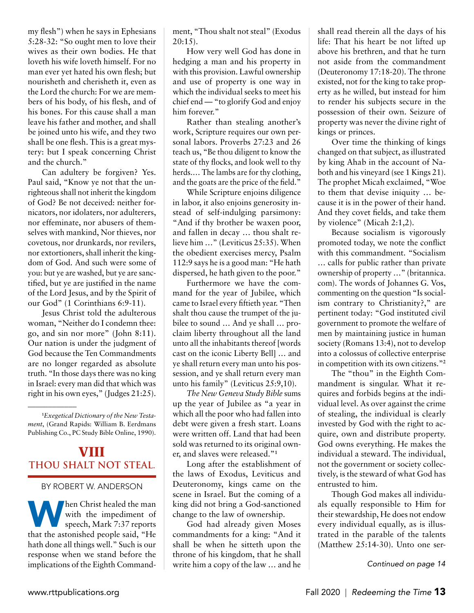my flesh") when he says in Ephesians 5:28-32: "So ought men to love their wives as their own bodies. He that loveth his wife loveth himself. For no man ever yet hated his own flesh; but nourisheth and cherisheth it, even as the Lord the church: For we are members of his body, of his flesh, and of his bones. For this cause shall a man leave his father and mother, and shall be joined unto his wife, and they two shall be one flesh. This is a great mystery: but I speak concerning Christ and the church."

Can adultery be forgiven? Yes. Paul said, "Know ye not that the unrighteous shall not inherit the kingdom of God? Be not deceived: neither fornicators, nor idolaters, nor adulterers, nor effeminate, nor abusers of themselves with mankind, Nor thieves, nor covetous, nor drunkards, nor revilers, nor extortioners, shall inherit the kingdom of God. And such were some of you: but ye are washed, but ye are sanctified, but ye are justified in the name of the Lord Jesus, and by the Spirit of our God" (1 Corinthians 6:9-11).

Jesus Christ told the adulterous woman, "Neither do I condemn thee: go, and sin nor more" (John 8:11). Our nation is under the judgment of God because the Ten Commandments are no longer regarded as absolute truth. "In those days there was no king in Israel: every man did that which was right in his own eyes," (Judges 21:25).

**1** *Exegetical Dictionary of the New Testament*, (Grand Rapids: William B. Eerdmans Publishing Co., PC Study Bible Online, 1990).

\_\_\_\_\_\_\_\_\_\_\_\_

## **VIII Thou shalt not steal.**

#### by Robert W. Anderson

**Manufarity hen Christ healed the manufarity** with the impediment of speech, Mark 7:37 reports that the astonished people said, "He with the impediment of speech, Mark 7:37 reports hath done all things well." Such is our response when we stand before the implications of the Eighth Commandment, "Thou shalt not steal" (Exodus 20:15).

How very well God has done in hedging a man and his property in with this provision. Lawful ownership and use of property is one way in which the individual seeks to meet his chief end — "to glorify God and enjoy him forever."

Rather than stealing another's work, Scripture requires our own personal labors. Proverbs 27:23 and 26 teach us, "Be thou diligent to know the state of thy flocks, and look well to thy herds.… The lambs are for thy clothing, and the goats are the price of the field."

While Scripture enjoins diligence in labor, it also enjoins generosity instead of self-indulging parsimony: "And if thy brother be waxen poor, and fallen in decay … thou shalt relieve him …" (Leviticus 25:35). When the obedient exercises mercy, Psalm 112:9 says he is a good man: "He hath dispersed, he hath given to the poor."

Furthermore we have the command for the year of Jubilee, which came to Israel every fiftieth year. "Then shalt thou cause the trumpet of the jubilee to sound … And ye shall … proclaim liberty throughout all the land unto all the inhabitants thereof [words cast on the iconic Liberty Bell] … and ye shall return every man unto his possession, and ye shall return every man unto his family" (Leviticus 25:9,10).

*The New Geneva Study Bible* sums up the year of Jubilee as "a year in which all the poor who had fallen into debt were given a fresh start. Loans were written off. Land that had been sold was returned to its original owner, and slaves were released."**<sup>1</sup>**

Long after the establishment of the laws of Exodus, Leviticus and Deuteronomy, kings came on the scene in Israel. But the coming of a king did not bring a God-sanctioned change to the law of ownership.

God had already given Moses commandments for a king: "And it shall be when he sitteth upon the throne of his kingdom, that he shall write him a copy of the law … and he shall read therein all the days of his life: That his heart be not lifted up above his brethren, and that he turn not aside from the commandment (Deuteronomy 17:18-20). The throne existed, not for the king to take property as he willed, but instead for him to render his subjects secure in the possession of their own. Seizure of property was never the divine right of kings or princes.

Over time the thinking of kings changed on that subject, as illustrated by king Ahab in the account of Naboth and his vineyard (see 1 Kings 21). The prophet Micah exclaimed, "Woe to them that devise iniquity … because it is in the power of their hand. And they covet fields, and take them by violence" (Micah 2:1,2).

Because socialism is vigorously promoted today, we note the conflict with this commandment. "Socialism … calls for public rather than private ownership of property …" (britannica. com). The words of Johannes G. Vos, commenting on the question "Is socialism contrary to Christianity?," are pertinent today: "God instituted civil government to promote the welfare of men by maintaining justice in human society (Romans 13:4), not to develop into a colossus of collective enterprise in competition with its own citizens."**<sup>2</sup>**

The "thou" in the Eighth Commandment is singular. What it requires and forbids begins at the individual level. As over against the crime of stealing, the individual is clearly invested by God with the right to acquire, own and distribute property. God owns everything. He makes the individual a steward. The individual, not the government or society collectively, is the steward of what God has entrusted to him.

Though God makes all individuals equally responsible to Him for their stewardship, He does not endow every individual equally, as is illustrated in the parable of the talents (Matthew 25:14-30). Unto one ser-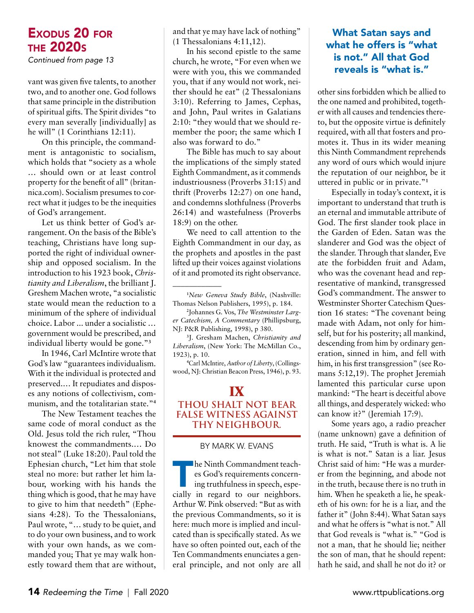*Continued from page 13*

vant was given five talents, to another two, and to another one. God follows that same principle in the distribution of spiritual gifts. The Spirit divides "to every man severally [individually] as he will" (1 Corinthians 12:11).

On this principle, the commandment is antagonistic to socialism, which holds that "society as a whole … should own or at least control property for the benefit of all" (britannica.com). Socialism presumes to correct what it judges to be the inequities of God's arrangement.

Let us think better of God's arrangement. On the basis of the Bible's teaching, Christians have long supported the right of individual ownership and opposed socialism. In the introduction to his 1923 book, *Christianity and Liberalism*, the brilliant J. Greshem Machen wrote, "a socialistic state would mean the reduction to a minimum of the sphere of individual choice. Labor ... under a socialistic … government would be prescribed, and individual liberty would be gone."**<sup>3</sup>**

In 1946, Carl McIntire wrote that God's law "guarantees individualism. With it the individual is protected and preserved.… It repudiates and disposes any notions of collectivism, communism, and the totalitarian state."**<sup>4</sup>**

The New Testament teaches the same code of moral conduct as the Old. Jesus told the rich ruler, "Thou knowest the commandments.… Do not steal" (Luke 18:20). Paul told the Ephesian church, "Let him that stole steal no more: but rather let him labour, working with his hands the thing which is good, that he may have to give to him that needeth" (Ephesians 4:28). To the Thessalonians, Paul wrote, "… study to be quiet, and to do your own business, and to work with your own hands, as we commanded you; That ye may walk honestly toward them that are without, and that ye may have lack of nothing" (1 Thessalonians 4:11,12).

In his second epistle to the same church, he wrote, "For even when we were with you, this we commanded you, that if any would not work, neither should he eat" (2 Thessalonians 3:10). Referring to James, Cephas, and John, Paul writes in Galatians 2:10: "they would that we should remember the poor; the same which I also was forward to do."

The Bible has much to say about the implications of the simply stated Eighth Commandment, as it commends industriousness (Proverbs 31:15) and thrift (Proverbs 12:27) on one hand, and condemns slothfulness (Proverbs 26:14) and wastefulness (Proverbs 18:9) on the other.

We need to call attention to the Eighth Commandment in our day, as the prophets and apostles in the past lifted up their voices against violations of it and promoted its right observance.

\_\_\_\_\_\_\_\_\_\_\_\_

**3** J. Gresham Machen, *Christianity and Liberalism*, (New York: The McMillan Co., 1923), p. 10.

**4** Carl McIntire, *Author of Liberty*, (Collingswood, NJ: Christian Beacon Press, 1946), p. 93.

#### **IX Thou shalt not bear false witness against thy neighbour.**

#### by MARK W. EVANs

The Ninth Commandment teach-<br>
es God's requirements concern-<br>
ing truthfulness in speech, espe-<br>
cially in regard to our neighbors. es God's requirements concerning truthfulness in speech, espe-Arthur W. Pink observed: "But as with the previous Commandments, so it is here: much more is implied and inculcated than is specifically stated. As we have so often pointed out, each of the Ten Commandments enunciates a general principle, and not only are all

#### What Satan says and what he offers is "what is not." All that God reveals is "what is."

other sins forbidden which be allied to the one named and prohibited, together with all causes and tendencies thereto, but the opposite virtue is definitely required, with all that fosters and promotes it. Thus in its wider meaning this Ninth Commandment reprehends any word of ours which would injure the reputation of our neighbor, be it uttered in public or in private."**<sup>1</sup>**

Especially in today's context, it is important to understand that truth is an eternal and immutable attribute of God. The first slander took place in the Garden of Eden. Satan was the slanderer and God was the object of the slander. Through that slander, Eve ate the forbidden fruit and Adam, who was the covenant head and representative of mankind, transgressed God's commandment. The answer to Westminster Shorter Catechism Question 16 states: "The covenant being made with Adam, not only for himself, but for his posterity; all mankind, descending from him by ordinary generation, sinned in him, and fell with him, in his first transgression" (see Romans 5:12,19). The prophet Jeremiah lamented this particular curse upon mankind: "The heart is deceitful above all things, and desperately wicked: who can know it?" (Jeremiah 17:9).

Some years ago, a radio preacher (name unknown) gave a definition of truth. He said, "Truth is what is. A lie is what is not." Satan is a liar. Jesus Christ said of him: "He was a murderer from the beginning, and abode not in the truth, because there is no truth in him. When he speaketh a lie, he speaketh of his own: for he is a liar, and the father it" (John 8:44). What Satan says and what he offers is "what is not." All that God reveals is "what is." "God is not a man, that he should lie; neither the son of man, that he should repent: hath he said, and shall he not do it? or

**<sup>1</sup>** *New Geneva Study Bible*, (Nashville: Thomas Nelson Publishers, 1995), p. 184.

**<sup>2</sup>** Johannes G. Vos, *The Westminster Larger Catechism, A Commentary* (Phillipsburg, NJ: P&R Publishing, 1998), p 380.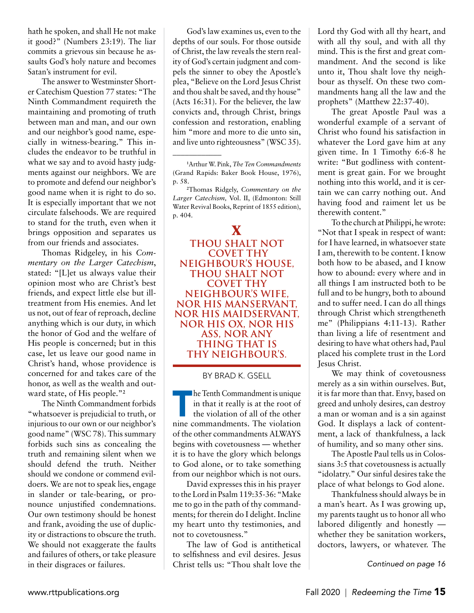hath he spoken, and shall He not make it good?" (Numbers 23:19). The liar commits a grievous sin because he assaults God's holy nature and becomes Satan's instrument for evil.

The answer to Westminster Shorter Catechism Question 77 states: "The Ninth Commandment requireth the maintaining and promoting of truth between man and man, and our own and our neighbor's good name, especially in witness-bearing." This includes the endeavor to be truthful in what we say and to avoid hasty judgments against our neighbors. We are to promote and defend our neighbor's good name when it is right to do so. It is especially important that we not circulate falsehoods. We are required to stand for the truth, even when it brings opposition and separates us from our friends and associates.

Thomas Ridgeley, in his *Commentary on the Larger Catechism*, stated: "[L]et us always value their opinion most who are Christ's best friends, and expect little else but illtreatment from His enemies. And let us not, out of fear of reproach, decline anything which is our duty, in which the honor of God and the welfare of His people is concerned; but in this case, let us leave our good name in Christ's hand, whose providence is concerned for and takes care of the honor, as well as the wealth and outward state, of His people."**<sup>2</sup>**

The Ninth Commandment forbids "whatsoever is prejudicial to truth, or injurious to our own or our neighbor's good name" (WSC 78). This summary forbids such sins as concealing the truth and remaining silent when we should defend the truth. Neither should we condone or commend evildoers. We are not to speak lies, engage in slander or tale-bearing, or pronounce unjustified condemnations. Our own testimony should be honest and frank, avoiding the use of duplicity or distractions to obscure the truth. We should not exaggerate the faults and failures of others, or take pleasure in their disgraces or failures.

God's law examines us, even to the depths of our souls. For those outside of Christ, the law reveals the stern reality of God's certain judgment and compels the sinner to obey the Apostle's plea, "Believe on the Lord Jesus Christ and thou shalt be saved, and thy house" (Acts 16:31). For the believer, the law convicts and, through Christ, brings confession and restoration, enabling him "more and more to die unto sin, and live unto righteousness" (WSC 35).

\_\_\_\_\_\_\_\_\_\_\_\_

**X Thou shalt noT COVET THY neighbour's house, thou shalt not covet THY neighbour's wife, nor his manservant, nor his maidservant, nor his ox, nor his ass, nor any thing that is thy neighbour's.** 

by BRAD K. GSELL

The Tenth Commandment is unique<br>in that it really is at the root of<br>the violation of all of the other<br>nine commandments. The violation in that it really is at the root of the violation of all of the other nine commandments. The violation of the other commandments ALWAYS begins with covetousness — whether it is to have the glory which belongs to God alone, or to take something from our neighbor which is not ours.

David expresses this in his prayer to the Lord in Psalm 119:35-36: "Make me to go in the path of thy commandments; for therein do I delight. Incline my heart unto thy testimonies, and not to covetousness."

The law of God is antithetical to selfishness and evil desires. Jesus Christ tells us: "Thou shalt love the Lord thy God with all thy heart, and with all thy soul, and with all thy mind. This is the first and great commandment. And the second is like unto it, Thou shalt love thy neighbour as thyself. On these two commandments hang all the law and the prophets" (Matthew 22:37-40).

The great Apostle Paul was a wonderful example of a servant of Christ who found his satisfaction in whatever the Lord gave him at any given time. In 1 Timothy 6:6-8 he write: "But godliness with contentment is great gain. For we brought nothing into this world, and it is certain we can carry nothing out. And having food and raiment let us be therewith content."

To the church at Philippi, he wrote: "Not that I speak in respect of want: for I have learned, in whatsoever state I am, therewith to be content. I know both how to be abased, and I know how to abound: every where and in all things I am instructed both to be full and to be hungry, both to abound and to suffer need. I can do all things through Christ which strengtheneth me" (Philippians 4:11-13). Rather than living a life of resentment and desiring to have what others had, Paul placed his complete trust in the Lord Jesus Christ.

We may think of covetousness merely as a sin within ourselves. But, it is far more than that. Envy, based on greed and unholy desires, can destroy a man or woman and is a sin against God. It displays a lack of contentment, a lack of thankfulness, a lack of humility, and so many other sins.

The Apostle Paul tells us in Colossians 3:5 that covetousness is actually "idolatry." Our sinful desires take the place of what belongs to God alone.

Thankfulness should always be in a man's heart. As I was growing up, my parents taught us to honor all who labored diligently and honestly whether they be sanitation workers, doctors, lawyers, or whatever. The

**<sup>1</sup>** Arthur W. Pink, *The Ten Commandments* (Grand Rapids: Baker Book House, 1976), p. 58.

**<sup>2</sup>** Thomas Ridgely, *Commentary on the Larger Catechism,* Vol. II, (Edmonton: Still Water Revival Books, Reprint of 1855 edition), p. 404.